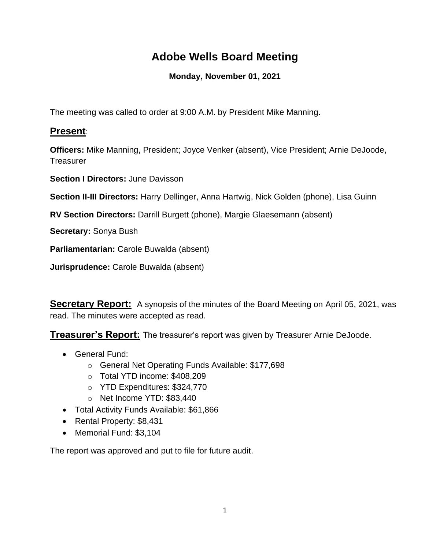# **Adobe Wells Board Meeting**

## **Monday, November 01, 2021**

The meeting was called to order at 9:00 A.M. by President Mike Manning.

## **Present**:

**Officers:** Mike Manning, President; Joyce Venker (absent), Vice President; Arnie DeJoode, **Treasurer** 

**Section I Directors:** June Davisson

**Section II-III Directors:** Harry Dellinger, Anna Hartwig, Nick Golden (phone), Lisa Guinn

**RV Section Directors:** Darrill Burgett (phone), Margie Glaesemann (absent)

**Secretary:** Sonya Bush

**Parliamentarian:** Carole Buwalda (absent)

**Jurisprudence:** Carole Buwalda (absent)

**Secretary Report:** A synopsis of the minutes of the Board Meeting on April 05, 2021, was read. The minutes were accepted as read.

**Treasurer's Report:** The treasurer's report was given by Treasurer Arnie DeJoode.

- General Fund:
	- o General Net Operating Funds Available: \$177,698
	- o Total YTD income: \$408,209
	- o YTD Expenditures: \$324,770
	- o Net Income YTD: \$83,440
- Total Activity Funds Available: \$61,866
- Rental Property: \$8,431
- Memorial Fund: \$3,104

The report was approved and put to file for future audit.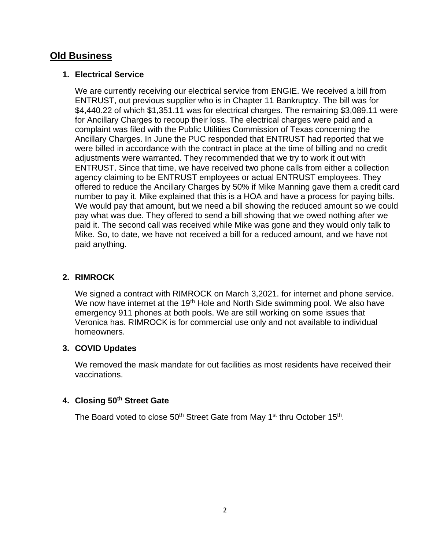## **Old Business**

#### **1. Electrical Service**

We are currently receiving our electrical service from ENGIE. We received a bill from ENTRUST, out previous supplier who is in Chapter 11 Bankruptcy. The bill was for \$4,440.22 of which \$1,351.11 was for electrical charges. The remaining \$3,089.11 were for Ancillary Charges to recoup their loss. The electrical charges were paid and a complaint was filed with the Public Utilities Commission of Texas concerning the Ancillary Charges. In June the PUC responded that ENTRUST had reported that we were billed in accordance with the contract in place at the time of billing and no credit adjustments were warranted. They recommended that we try to work it out with ENTRUST. Since that time, we have received two phone calls from either a collection agency claiming to be ENTRUST employees or actual ENTRUST employees. They offered to reduce the Ancillary Charges by 50% if Mike Manning gave them a credit card number to pay it. Mike explained that this is a HOA and have a process for paying bills. We would pay that amount, but we need a bill showing the reduced amount so we could pay what was due. They offered to send a bill showing that we owed nothing after we paid it. The second call was received while Mike was gone and they would only talk to Mike. So, to date, we have not received a bill for a reduced amount, and we have not paid anything.

#### **2. RIMROCK**

We signed a contract with RIMROCK on March 3,2021. for internet and phone service. We now have internet at the 19<sup>th</sup> Hole and North Side swimming pool. We also have emergency 911 phones at both pools. We are still working on some issues that Veronica has. RIMROCK is for commercial use only and not available to individual homeowners.

#### **3. COVID Updates**

We removed the mask mandate for out facilities as most residents have received their vaccinations.

#### **4. Closing 50th Street Gate**

The Board voted to close  $50<sup>th</sup>$  Street Gate from May 1<sup>st</sup> thru October 15<sup>th</sup>.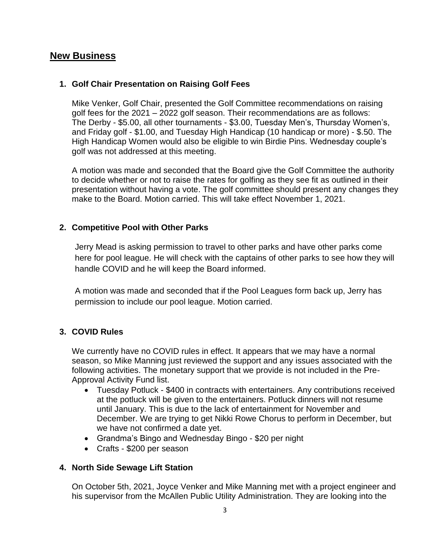## **New Business**

#### **1. Golf Chair Presentation on Raising Golf Fees**

Mike Venker, Golf Chair, presented the Golf Committee recommendations on raising golf fees for the 2021 – 2022 golf season. Their recommendations are as follows: The Derby - \$5.00, all other tournaments - \$3.00, Tuesday Men's, Thursday Women's, and Friday golf - \$1.00, and Tuesday High Handicap (10 handicap or more) - \$.50. The High Handicap Women would also be eligible to win Birdie Pins. Wednesday couple's golf was not addressed at this meeting.

A motion was made and seconded that the Board give the Golf Committee the authority to decide whether or not to raise the rates for golfing as they see fit as outlined in their presentation without having a vote. The golf committee should present any changes they make to the Board. Motion carried. This will take effect November 1, 2021.

#### **2. Competitive Pool with Other Parks**

Jerry Mead is asking permission to travel to other parks and have other parks come here for pool league. He will check with the captains of other parks to see how they will handle COVID and he will keep the Board informed.

A motion was made and seconded that if the Pool Leagues form back up, Jerry has permission to include our pool league. Motion carried.

#### **3. COVID Rules**

We currently have no COVID rules in effect. It appears that we may have a normal season, so Mike Manning just reviewed the support and any issues associated with the following activities. The monetary support that we provide is not included in the Pre-Approval Activity Fund list.

- Tuesday Potluck \$400 in contracts with entertainers. Any contributions received at the potluck will be given to the entertainers. Potluck dinners will not resume until January. This is due to the lack of entertainment for November and December. We are trying to get Nikki Rowe Chorus to perform in December, but we have not confirmed a date yet.
- Grandma's Bingo and Wednesday Bingo \$20 per night
- Crafts \$200 per season

#### **4. North Side Sewage Lift Station**

On October 5th, 2021, Joyce Venker and Mike Manning met with a project engineer and his supervisor from the McAllen Public Utility Administration. They are looking into the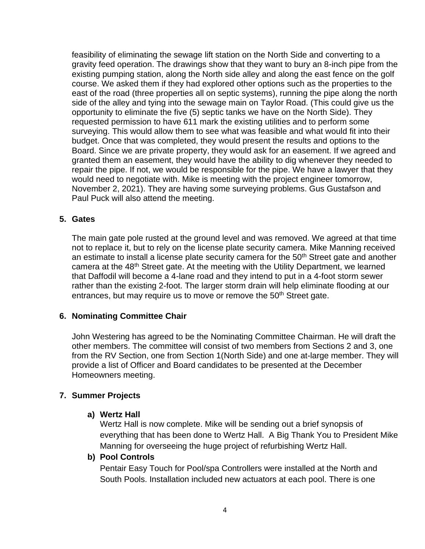feasibility of eliminating the sewage lift station on the North Side and converting to a gravity feed operation. The drawings show that they want to bury an 8-inch pipe from the existing pumping station, along the North side alley and along the east fence on the golf course. We asked them if they had explored other options such as the properties to the east of the road (three properties all on septic systems), running the pipe along the north side of the alley and tying into the sewage main on Taylor Road. (This could give us the opportunity to eliminate the five (5) septic tanks we have on the North Side). They requested permission to have 611 mark the existing utilities and to perform some surveying. This would allow them to see what was feasible and what would fit into their budget. Once that was completed, they would present the results and options to the Board. Since we are private property, they would ask for an easement. If we agreed and granted them an easement, they would have the ability to dig whenever they needed to repair the pipe. If not, we would be responsible for the pipe. We have a lawyer that they would need to negotiate with. Mike is meeting with the project engineer tomorrow, November 2, 2021). They are having some surveying problems. Gus Gustafson and Paul Puck will also attend the meeting.

#### **5. Gates**

The main gate pole rusted at the ground level and was removed. We agreed at that time not to replace it, but to rely on the license plate security camera. Mike Manning received an estimate to install a license plate security camera for the  $50<sup>th</sup>$  Street gate and another camera at the 48<sup>th</sup> Street gate. At the meeting with the Utility Department, we learned that Daffodil will become a 4-lane road and they intend to put in a 4-foot storm sewer rather than the existing 2-foot. The larger storm drain will help eliminate flooding at our entrances, but may require us to move or remove the  $50<sup>th</sup>$  Street gate.

#### **6. Nominating Committee Chair**

John Westering has agreed to be the Nominating Committee Chairman. He will draft the other members. The committee will consist of two members from Sections 2 and 3, one from the RV Section, one from Section 1(North Side) and one at-large member. They will provide a list of Officer and Board candidates to be presented at the December Homeowners meeting.

#### **7. Summer Projects**

#### **a) Wertz Hall**

Wertz Hall is now complete. Mike will be sending out a brief synopsis of everything that has been done to Wertz Hall. A Big Thank You to President Mike Manning for overseeing the huge project of refurbishing Wertz Hall.

#### **b) Pool Controls**

Pentair Easy Touch for Pool/spa Controllers were installed at the North and South Pools. Installation included new actuators at each pool. There is one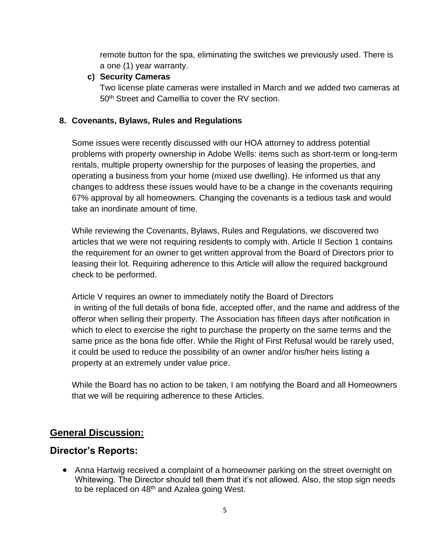remote button for the spa, eliminating the switches we previously used. There is a one (1) year warranty.

### **c) Security Cameras**

Two license plate cameras were installed in March and we added two cameras at 50<sup>th</sup> Street and Camellia to cover the RV section.

### **8. Covenants, Bylaws, Rules and Regulations**

Some issues were recently discussed with our HOA attorney to address potential problems with property ownership in Adobe Wells: items such as short-term or long-term rentals, multiple property ownership for the purposes of leasing the properties, and operating a business from your home (mixed use dwelling). He informed us that any changes to address these issues would have to be a change in the covenants requiring 67% approval by all homeowners. Changing the covenants is a tedious task and would take an inordinate amount of time.

While reviewing the Covenants, Bylaws, Rules and Regulations, we discovered two articles that we were not requiring residents to comply with. Article II Section 1 contains the requirement for an owner to get written approval from the Board of Directors prior to leasing their lot. Requiring adherence to this Article will allow the required background check to be performed.

Article V requires an owner to immediately notify the Board of Directors in writing of the full details of bona fide, accepted offer, and the name and address of the offeror when selling their property. The Association has fifteen days after notification in which to elect to exercise the right to purchase the property on the same terms and the same price as the bona fide offer. While the Right of First Refusal would be rarely used, it could be used to reduce the possibility of an owner and/or his/her heirs listing a property at an extremely under value price.

While the Board has no action to be taken, I am notifying the Board and all Homeowners that we will be requiring adherence to these Articles.

## **General Discussion:**

## **Director's Reports:**

• Anna Hartwig received a complaint of a homeowner parking on the street overnight on Whitewing. The Director should tell them that it's not allowed. Also, the stop sign needs to be replaced on 48th and Azalea going West.